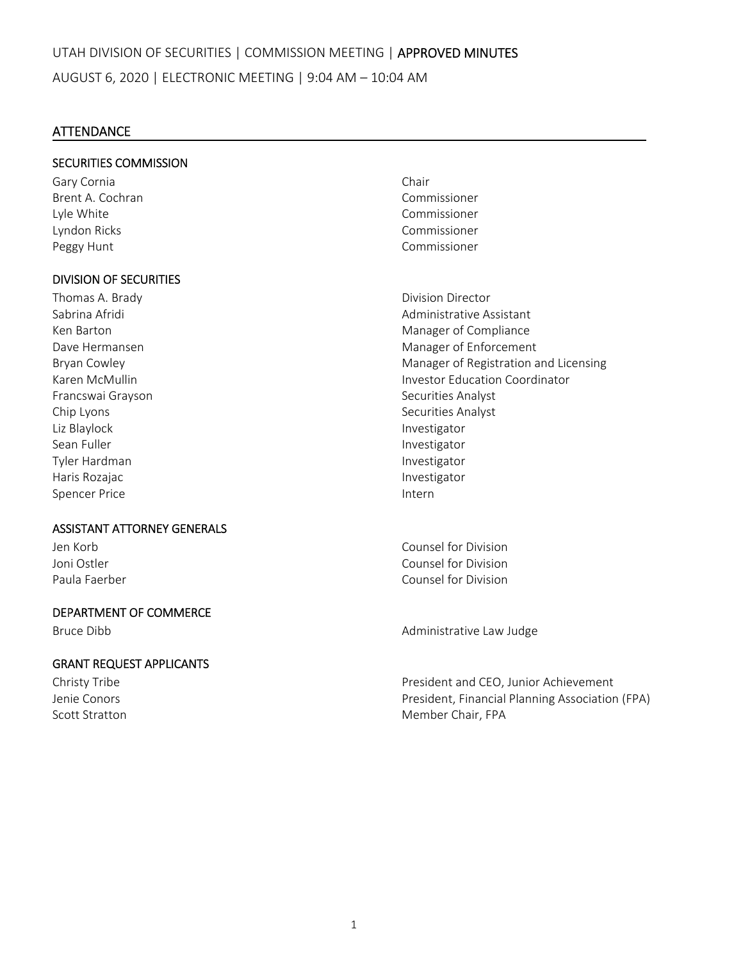# **ATTENDANCE**

## SECURITIES COMMISSION

Gary Cornia **Chair** Brent A. Cochran Commissioner Lyle White Commissioner Lyndon Ricks Commissioner Peggy Hunt **Commissioner Peggy Hunt** 

## DIVISION OF SECURITIES

Francswai Grayson **Brancswai Grayson Exercise Securities Analyst** Chip Lyons Securities Analyst Liz Blaylock Investigator Sean Fuller **Investigator Investigator** Tyler Hardman Investigator Haris Rozajac **International Community** Charis Rozajac **Investigator** Spencer Price **Internal Spencer Price 1999** 

#### ASSISTANT ATTORNEY GENERALS

#### DEPARTMENT OF COMMERCE

#### GRANT REQUEST APPLICANTS

Thomas A. Brady **Brady Communist Communist Communist Communist Communist Communist Communist Communist Communist Communist Communist Communist Communist Communist Communist Communist Communist Communist Communist Communist** Sabrina Afridi Administrative Assistant Ken Barton Manager of Compliance Dave Hermansen **Manager of Enforcement** Bryan Cowley **Manager of Registration and Licensing** Karen McMullin Investor Education Coordinator

Jen Korb Counsel for Division Joni Ostler Counsel for Division Paula Faerber Counsel for Division

Bruce Dibb **Bruce Dibb Bruce Dibb Administrative Law Judge** 

Christy Tribe President and CEO, Junior Achievement Jenie Conors President, Financial Planning Association (FPA) Scott Stratton Member Chair, FPA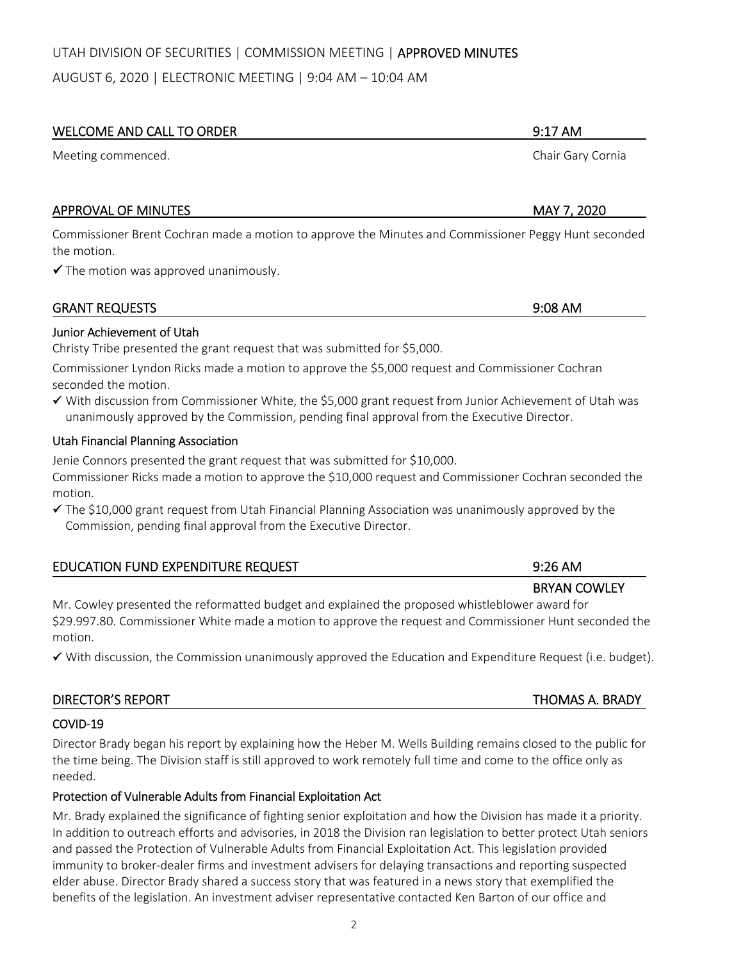# UTAH DIVISION OF SECURITIES | COMMISSION MEETING | APPROVED MINUTES

AUGUST 6, 2020 | ELECTRONIC MEETING | 9:04 AM – 10:04 AM

#### WELCOME AND CALL TO ORDER 9:17 AM

Meeting commenced. Chair Gary Cornia

# APPROVAL OF MINUTES **APPROVAL OF MINUTES A**

Commissioner Brent Cochran made a motion to approve the Minutes and Commissioner Peggy Hunt seconded the motion.

 $\checkmark$  The motion was approved unanimously.

# Junior Achievement of Utah

Christy Tribe presented the grant request that was submitted for \$5,000.

Commissioner Lyndon Ricks made a motion to approve the \$5,000 request and Commissioner Cochran seconded the motion.

 With discussion from Commissioner White, the \$5,000 grant request from Junior Achievement of Utah was unanimously approved by the Commission, pending final approval from the Executive Director.

## Utah Financial Planning Association

Jenie Connors presented the grant request that was submitted for \$10,000.

Commissioner Ricks made a motion to approve the \$10,000 request and Commissioner Cochran seconded the motion.

 The \$10,000 grant request from Utah Financial Planning Association was unanimously approved by the Commission, pending final approval from the Executive Director.

| <b>EDUCATION FUND EXPENDITURE REQUEST</b>                                                      | $9:26 \text{ AM}$   |
|------------------------------------------------------------------------------------------------|---------------------|
|                                                                                                | <b>BRYAN COWLEY</b> |
| Mr. Cowley presented the reformatted budget and explained the proposed whistleblower award for |                     |

\$29.997.80. Commissioner White made a motion to approve the request and Commissioner Hunt seconded the motion.

With discussion, the Commission unanimously approved the Education and Expenditure Request (i.e. budget).

| <b>DIRECTOR'S REPORT</b> | <b>THOMAS A. BRADY</b> |
|--------------------------|------------------------|
|                          |                        |

# COVID‐19

Director Brady began his report by explaining how the Heber M. Wells Building remains closed to the public for the time being. The Division staff is still approved to work remotely full time and come to the office only as needed.

# Protection of Vulnerable Adults from Financial Exploitation Act

Mr. Brady explained the significance of fighting senior exploitation and how the Division has made it a priority. In addition to outreach efforts and advisories, in 2018 the Division ran legislation to better protect Utah seniors and passed the Protection of Vulnerable Adults from Financial Exploitation Act. This legislation provided immunity to broker‐dealer firms and investment advisers for delaying transactions and reporting suspected elder abuse. Director Brady shared a success story that was featured in a news story that exemplified the benefits of the legislation. An investment adviser representative contacted Ken Barton of our office and

GRANT REQUESTS 9:08 AM

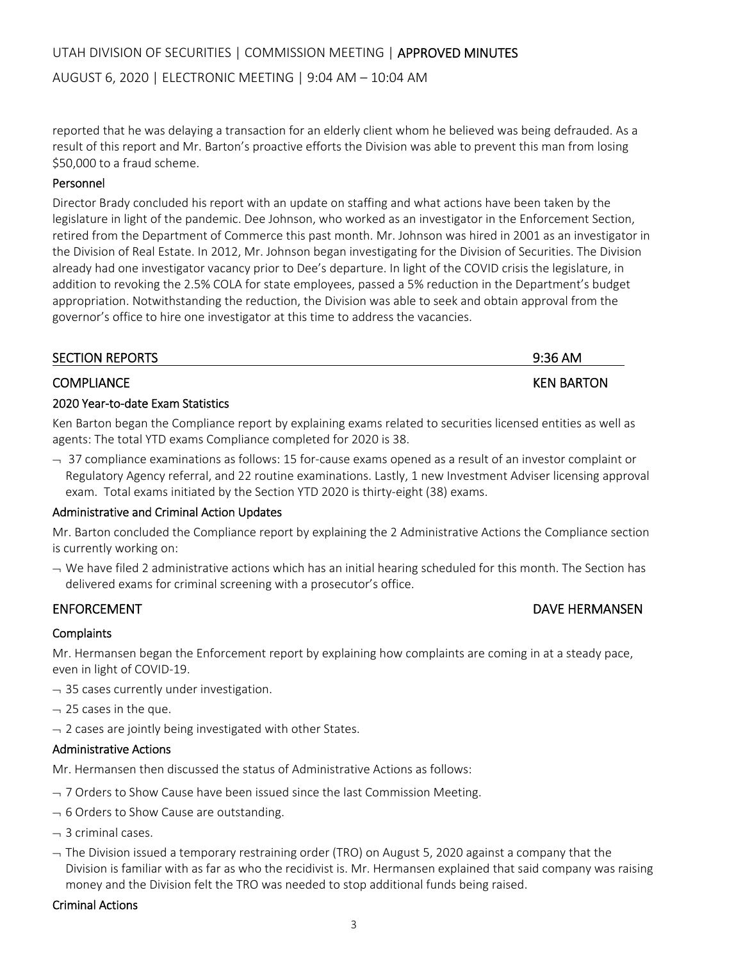AUGUST 6, 2020 | ELECTRONIC MEETING | 9:04 AM – 10:04 AM

reported that he was delaying a transaction for an elderly client whom he believed was being defrauded. As a result of this report and Mr. Barton's proactive efforts the Division was able to prevent this man from losing \$50,000 to a fraud scheme.

# Personnel

Director Brady concluded his report with an update on staffing and what actions have been taken by the legislature in light of the pandemic. Dee Johnson, who worked as an investigator in the Enforcement Section, retired from the Department of Commerce this past month. Mr. Johnson was hired in 2001 as an investigator in the Division of Real Estate. In 2012, Mr. Johnson began investigating for the Division of Securities. The Division already had one investigator vacancy prior to Dee's departure. In light of the COVID crisis the legislature, in addition to revoking the 2.5% COLA for state employees, passed a 5% reduction in the Department's budget appropriation. Notwithstanding the reduction, the Division was able to seek and obtain approval from the governor's office to hire one investigator at this time to address the vacancies.

| <b>SECTION REPORTS</b> | $9:36$ AM         |
|------------------------|-------------------|
| <b>COMPLIANCE</b>      | <b>KEN BARTON</b> |

# 2020 Year‐to‐date Exam Statistics

Ken Barton began the Compliance report by explaining exams related to securities licensed entities as well as agents: The total YTD exams Compliance completed for 2020 is 38.

 $-$  37 compliance examinations as follows: 15 for-cause exams opened as a result of an investor complaint or Regulatory Agency referral, and 22 routine examinations. Lastly, 1 new Investment Adviser licensing approval exam. Total exams initiated by the Section YTD 2020 is thirty-eight (38) exams.

# Administrative and Criminal Action Updates

Mr. Barton concluded the Compliance report by explaining the 2 Administrative Actions the Compliance section is currently working on:

 $\rightarrow$  We have filed 2 administrative actions which has an initial hearing scheduled for this month. The Section has delivered exams for criminal screening with a prosecutor's office.

# **Complaints**

Mr. Hermansen began the Enforcement report by explaining how complaints are coming in at a steady pace, even in light of COVID‐19.

- $-$  35 cases currently under investigation.
- $-$  25 cases in the que.
- $\rightarrow$  2 cases are jointly being investigated with other States.

# Administrative Actions

Mr. Hermansen then discussed the status of Administrative Actions as follows:

- $-$  7 Orders to Show Cause have been issued since the last Commission Meeting.
- $-6$  Orders to Show Cause are outstanding.
- $-$  3 criminal cases.
- $-$  The Division issued a temporary restraining order (TRO) on August 5, 2020 against a company that the Division is familiar with as far as who the recidivist is. Mr. Hermansen explained that said company was raising money and the Division felt the TRO was needed to stop additional funds being raised.

# Criminal Actions

# ENFORCEMENT **EXECUTE ENFORCEMENT EXECUTE ENFORCEMENT**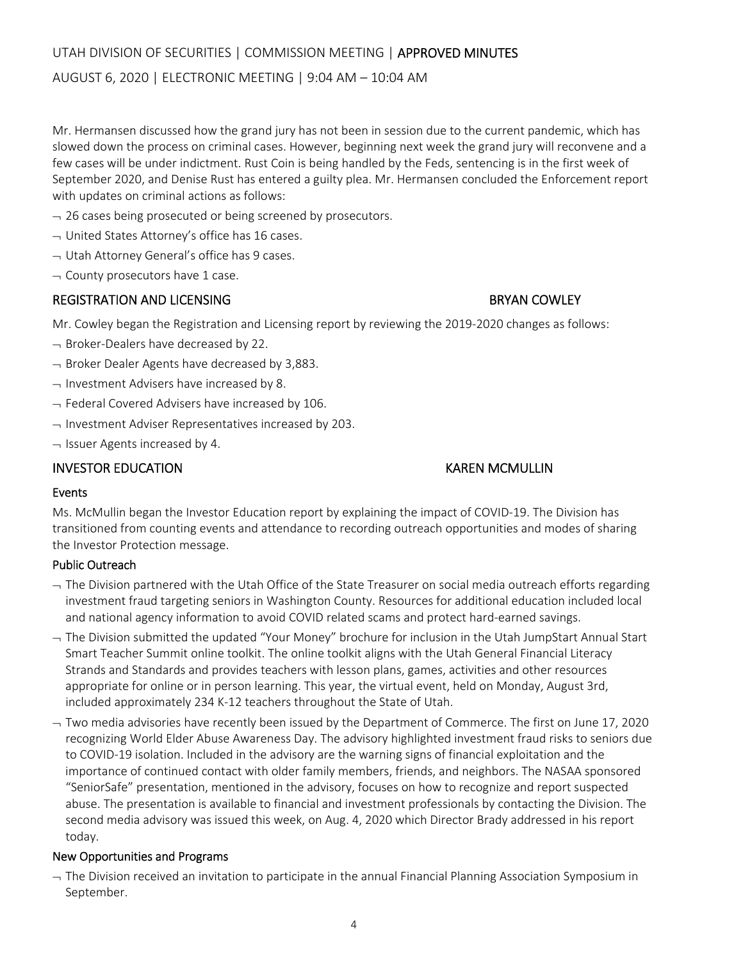# UTAH DIVISION OF SECURITIES | COMMISSION MEETING | APPROVED MINUTES

#### AUGUST 6, 2020 | ELECTRONIC MEETING | 9:04 AM – 10:04 AM

Mr. Hermansen discussed how the grand jury has not been in session due to the current pandemic, which has slowed down the process on criminal cases. However, beginning next week the grand jury will reconvene and a few cases will be under indictment. Rust Coin is being handled by the Feds, sentencing is in the first week of September 2020, and Denise Rust has entered a guilty plea. Mr. Hermansen concluded the Enforcement report with updates on criminal actions as follows:

- $-$  26 cases being prosecuted or being screened by prosecutors.
- $\rightarrow$  United States Attorney's office has 16 cases.
- $\rightarrow$  Utah Attorney General's office has 9 cases.
- $\lnot$  County prosecutors have 1 case.

## REGISTRATION AND LICENSING **BRYAN COWLEY**

Mr. Cowley began the Registration and Licensing report by reviewing the 2019‐2020 changes as follows:

- $\rightarrow$  Broker-Dealers have decreased by 22.
- $\rightarrow$  Broker Dealer Agents have decreased by 3,883.
- $\rightarrow$  Investment Advisers have increased by 8.
- $-$  Federal Covered Advisers have increased by 106.
- $\rightarrow$  Investment Adviser Representatives increased by 203.
- $\lnot$  Issuer Agents increased by 4.

## INVESTOR EDUCATION KAREN MCMULLIN

#### Events

Ms. McMullin began the Investor Education report by explaining the impact of COVID‐19. The Division has transitioned from counting events and attendance to recording outreach opportunities and modes of sharing the Investor Protection message.

#### Public Outreach

- $-$  The Division partnered with the Utah Office of the State Treasurer on social media outreach efforts regarding investment fraud targeting seniors in Washington County. Resources for additional education included local and national agency information to avoid COVID related scams and protect hard-earned savings.
- $\rightarrow$  The Division submitted the updated "Your Money" brochure for inclusion in the Utah JumpStart Annual Start Smart Teacher Summit online toolkit. The online toolkit aligns with the Utah General Financial Literacy Strands and Standards and provides teachers with lesson plans, games, activities and other resources appropriate for online or in person learning. This year, the virtual event, held on Monday, August 3rd, included approximately 234 K‐12 teachers throughout the State of Utah.
- $-$  Two media advisories have recently been issued by the Department of Commerce. The first on June 17, 2020 recognizing World Elder Abuse Awareness Day. The advisory highlighted investment fraud risks to seniors due to COVID‐19 isolation. Included in the advisory are the warning signs of financial exploitation and the importance of continued contact with older family members, friends, and neighbors. The NASAA sponsored "SeniorSafe" presentation, mentioned in the advisory, focuses on how to recognize and report suspected abuse. The presentation is available to financial and investment professionals by contacting the Division. The second media advisory was issued this week, on Aug. 4, 2020 which Director Brady addressed in his report today.

#### New Opportunities and Programs

 $-$  The Division received an invitation to participate in the annual Financial Planning Association Symposium in September.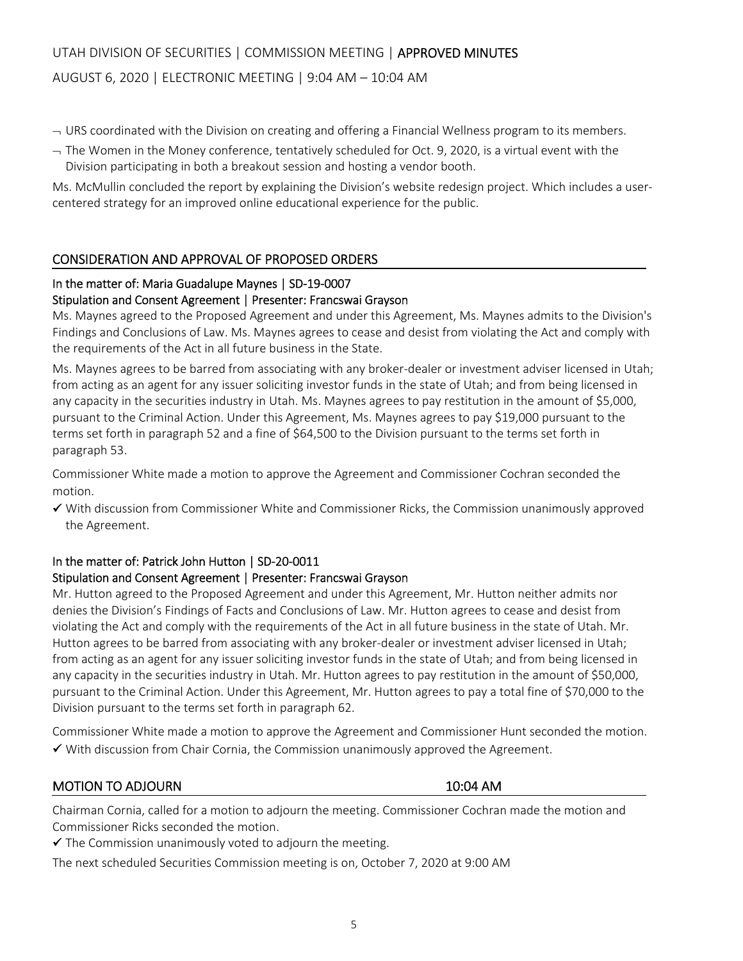# UTAH DIVISION OF SECURITIES | COMMISSION MEETING | APPROVED MINUTES

#### AUGUST 6, 2020 | ELECTRONIC MEETING | 9:04 AM – 10:04 AM

- $\sim$  URS coordinated with the Division on creating and offering a Financial Wellness program to its members.
- $-$  The Women in the Money conference, tentatively scheduled for Oct. 9, 2020, is a virtual event with the Division participating in both a breakout session and hosting a vendor booth.

Ms. McMullin concluded the report by explaining the Division's website redesign project. Which includes a user‐ centered strategy for an improved online educational experience for the public.

#### CONSIDERATION AND APPROVAL OF PROPOSED ORDERS

#### In the matter of: Maria Guadalupe Maynes | SD‐19‐0007

#### Stipulation and Consent Agreement | Presenter: Francswai Grayson

Ms. Maynes agreed to the Proposed Agreement and under this Agreement, Ms. Maynes admits to the Division's Findings and Conclusions of Law. Ms. Maynes agrees to cease and desist from violating the Act and comply with the requirements of the Act in all future business in the State.

Ms. Maynes agrees to be barred from associating with any broker-dealer or investment adviser licensed in Utah; from acting as an agent for any issuer soliciting investor funds in the state of Utah; and from being licensed in any capacity in the securities industry in Utah. Ms. Maynes agrees to pay restitution in the amount of \$5,000, pursuant to the Criminal Action. Under this Agreement, Ms. Maynes agrees to pay \$19,000 pursuant to the terms set forth in paragraph 52 and a fine of \$64,500 to the Division pursuant to the terms set forth in paragraph 53.

Commissioner White made a motion to approve the Agreement and Commissioner Cochran seconded the motion.

 $\checkmark$  With discussion from Commissioner White and Commissioner Ricks, the Commission unanimously approved the Agreement.

#### In the matter of: Patrick John Hutton | SD‐20‐0011

#### Stipulation and Consent Agreement | Presenter: Francswai Grayson

Mr. Hutton agreed to the Proposed Agreement and under this Agreement, Mr. Hutton neither admits nor denies the Division's Findings of Facts and Conclusions of Law. Mr. Hutton agrees to cease and desist from violating the Act and comply with the requirements of the Act in all future business in the state of Utah. Mr. Hutton agrees to be barred from associating with any broker-dealer or investment adviser licensed in Utah; from acting as an agent for any issuer soliciting investor funds in the state of Utah; and from being licensed in any capacity in the securities industry in Utah. Mr. Hutton agrees to pay restitution in the amount of \$50,000, pursuant to the Criminal Action. Under this Agreement, Mr. Hutton agrees to pay a total fine of \$70,000 to the Division pursuant to the terms set forth in paragraph 62.

Commissioner White made a motion to approve the Agreement and Commissioner Hunt seconded the motion.  $\checkmark$  With discussion from Chair Cornia, the Commission unanimously approved the Agreement.

#### MOTION TO ADJOURN **10:04 AM**

Chairman Cornia, called for a motion to adjourn the meeting. Commissioner Cochran made the motion and Commissioner Ricks seconded the motion.

 $\checkmark$  The Commission unanimously voted to adjourn the meeting.

The next scheduled Securities Commission meeting is on, October 7, 2020 at 9:00 AM